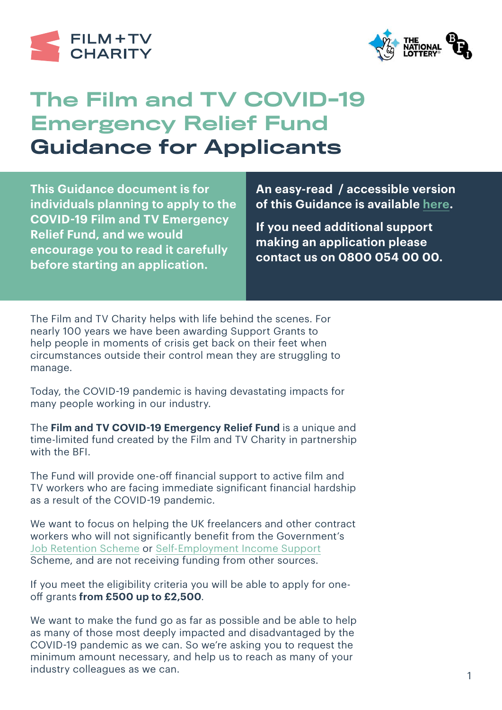



## The Film and TV COVID-19 Emergency Relief Fund Guidance for Applicants

**This Guidance document is for individuals planning to apply to the COVID-19 Film and TV Emergency Relief Fund, and we would encourage you to read it carefully before starting an application.**

**An easy-read / accessible version of this Guidance is available [here](https://filmtvcharity.org.uk/wp-content/uploads/2020/04/GUIDANCE-LARGE-TYPE.pdf).**

**If you need additional support making an application please contact us on 0800 054 00 00.** 

The Film and TV Charity helps with life behind the scenes. For nearly 100 years we have been awarding Support Grants to help people in moments of crisis get back on their feet when circumstances outside their control mean they are struggling to manage.

Today, the COVID-19 pandemic is having devastating impacts for many people working in our industry.

The **Film and TV COVID-19 Emergency Relief Fund** is a unique and time-limited fund created by the Film and TV Charity in partnership with the BFI.

The Fund will provide one-off financial support to active film and TV workers who are facing immediate significant financial hardship as a result of the COVID-19 pandemic.

We want to focus on helping the UK freelancers and other contract workers who will not significantly benefit from the Government's [Job Retention Scheme](https://www.gov.uk/guidance/claim-for-wage-costs-through-the-coronavirus-job-retention-scheme) or [Self-Employment Income Support](https://www.gov.uk/guidance/claim-a-grant-through-the-coronavirus-covid-19-self-employment-income-support-scheme) Scheme, and are not receiving funding from other sources.

If you meet the eligibility criteria you will be able to apply for oneoff grants **from £500 up to £2,500**.

We want to make the fund go as far as possible and be able to help as many of those most deeply impacted and disadvantaged by the COVID-19 pandemic as we can. So we're asking you to request the minimum amount necessary, and help us to reach as many of your industry colleagues as we can.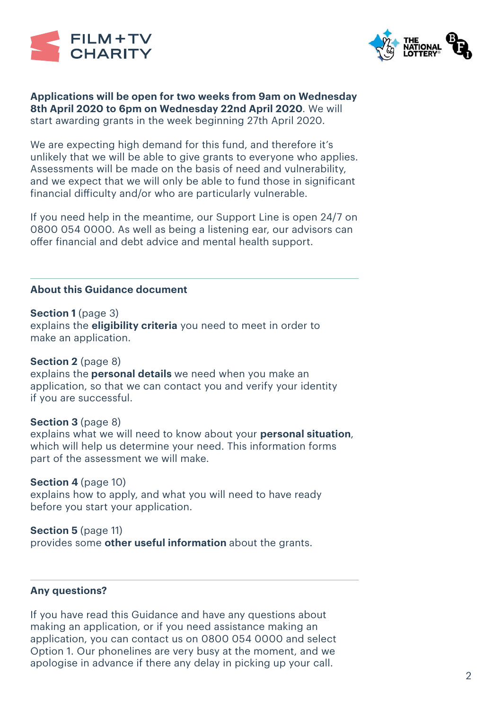



**Applications will be open for two weeks from 9am on Wednesday 8th April 2020 to 6pm on Wednesday 22nd April 2020**. We will start awarding grants in the week beginning 27th April 2020.

We are expecting high demand for this fund, and therefore it's unlikely that we will be able to give grants to everyone who applies. Assessments will be made on the basis of need and vulnerability, and we expect that we will only be able to fund those in significant financial difficulty and/or who are particularly vulnerable.

If you need help in the meantime, our Support Line is open 24/7 on 0800 054 0000. As well as being a listening ear, our advisors can offer financial and debt advice and mental health support.

#### **About this Guidance document**

#### **Section 1** (page 3)

explains the **eligibility criteria** you need to meet in order to make an application.

#### **Section 2** (page 8)

explains the **personal details** we need when you make an application, so that we can contact you and verify your identity if you are successful.

## **Section 3** (page 8)

explains what we will need to know about your **personal situation**, which will help us determine your need. This information forms part of the assessment we will make.

## **Section 4** (page 10)

explains how to apply, and what you will need to have ready before you start your application.

## **Section 5** (page 11)

provides some **other useful information** about the grants.

#### **Any questions?**

If you have read this Guidance and have any questions about making an application, or if you need assistance making an application, you can contact us on 0800 054 0000 and select Option 1. Our phonelines are very busy at the moment, and we apologise in advance if there any delay in picking up your call.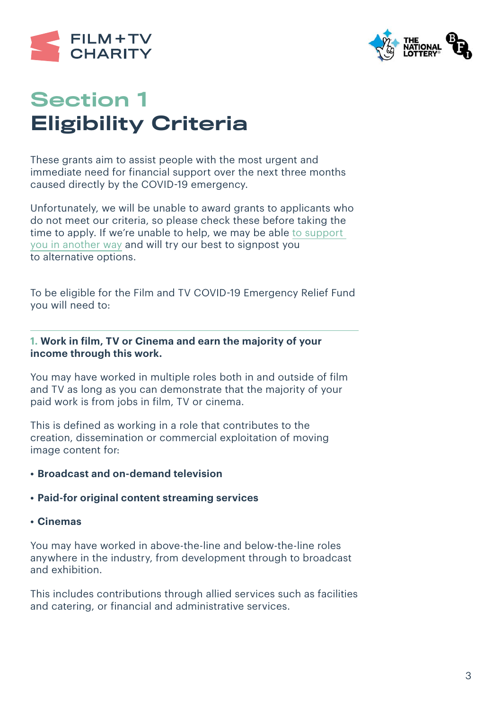



# Section 1 Eligibility Criteria

These grants aim to assist people with the most urgent and immediate need for financial support over the next three months caused directly by the COVID-19 emergency.

Unfortunately, we will be unable to award grants to applicants who do not meet our criteria, so please check these before taking the time to apply. If we're unable to help, we may be able [to support](https://filmtvcharity.org.uk/we-can-help/)  [you in another way](https://filmtvcharity.org.uk/we-can-help/) and will try our best to signpost you to alternative options.

To be eligible for the Film and TV COVID-19 Emergency Relief Fund you will need to:

## **1. Work in film, TV or Cinema and earn the majority of your income through this work.**

You may have worked in multiple roles both in and outside of film and TV as long as you can demonstrate that the majority of your paid work is from jobs in film, TV or cinema.

This is defined as working in a role that contributes to the creation, dissemination or commercial exploitation of moving image content for:

## **• Broadcast and on-demand television**

## **• Paid-for original content streaming services**

**• Cinemas**

You may have worked in above-the-line and below-the-line roles anywhere in the industry, from development through to broadcast and exhibition.

This includes contributions through allied services such as facilities and catering, or financial and administrative services.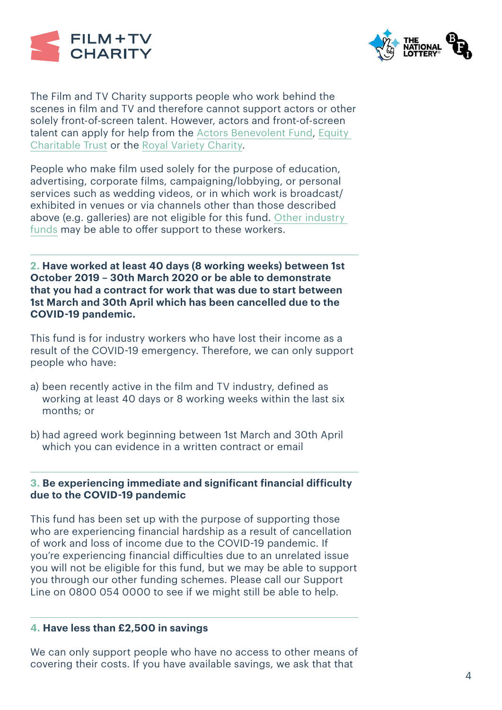



The Film and TV Charity supports people who work behind the scenes in film and TV and therefore cannot support actors or other solely front-of-screen talent. However, actors and front-of-screen talent can apply for help from the [Actors Benevolent Fund,](https://www.actorsbenevolentfund.co.uk) [Equity](http://www.equitycharitabletrust.org.uk)  [Charitable Trust](http://www.equitycharitabletrust.org.uk) or the [Royal Variety Charity](http://www.royalvarietycharity.org/news/detail/assistance-for-those-affected-by-covid-19).

People who make film used solely for the purpose of education, advertising, corporate films, campaigning/lobbying, or personal services such as wedding videos, or in which work is broadcast/ exhibited in venues or via channels other than those described above (e.g. galleries) are not eligible for this fund. Other industry [funds](https://www.aco.uk.net/page/Member-Directory) may be able to offer support to these workers.

**2. Have worked at least 40 days (8 working weeks) between 1st October 2019 – 30th March 2020 or be able to demonstrate that you had a contract for work that was due to start between 1st March and 30th April which has been cancelled due to the COVID-19 pandemic.**

This fund is for industry workers who have lost their income as a result of the COVID-19 emergency. Therefore, we can only support people who have:

- a) been recently active in the film and TV industry, defined as working at least 40 days or 8 working weeks within the last six months; or
- b) had agreed work beginning between 1st March and 30th April which you can evidence in a written contract or email

## **3. Be experiencing immediate and significant financial difficulty due to the COVID-19 pandemic**

This fund has been set up with the purpose of supporting those who are experiencing financial hardship as a result of cancellation of work and loss of income due to the COVID-19 pandemic. If you're experiencing financial difficulties due to an unrelated issue you will not be eligible for this fund, but we may be able to support you through our other funding schemes. Please call our Support Line on 0800 054 0000 to see if we might still be able to help.

## **4. Have less than £2,500 in savings**

We can only support people who have no access to other means of covering their costs. If you have available savings, we ask that that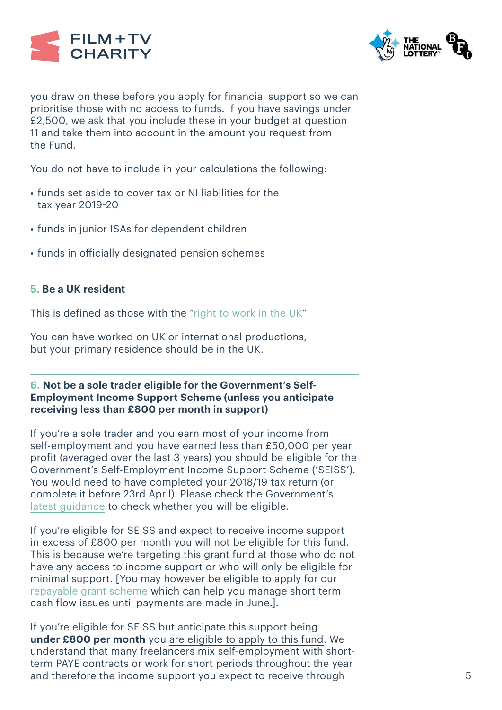



you draw on these before you apply for financial support so we can prioritise those with no access to funds. If you have savings under £2,500, we ask that you include these in your budget at question 11 and take them into account in the amount you request from the Fund.

You do not have to include in your calculations the following:

- funds set aside to cover tax or NI liabilities for the tax year 2019-20
- funds in junior ISAs for dependent children
- funds in officially designated pension schemes

#### **5. Be a UK resident**

This is defined as those with the ["right to work in the UK"](https://www.gov.uk/prove-right-to-work)

You can have worked on UK or international productions, but your primary residence should be in the UK.

## **6. Not be a sole trader eligible for the Government's Self-Employment Income Support Scheme (unless you anticipate receiving less than £800 per month in support)**

If you're a sole trader and you earn most of your income from self-employment and you have earned less than £50,000 per year profit (averaged over the last 3 years) you should be eligible for the Government's Self-Employment Income Support Scheme ('SEISS'). You would need to have completed your 2018/19 tax return (or complete it before 23rd April). Please check the Government's [latest guidance](https://www.gov.uk/guidance/claim-a-grant-through-the-coronavirus-covid-19-self-employment-income-support-scheme) to check whether you will be eligible.

If you're eligible for SEISS and expect to receive income support in excess of £800 per month you will not be eligible for this fund. This is because we're targeting this grant fund at those who do not have any access to income support or who will only be eligible for minimal support. [You may however be eligible to apply for our [repayable grant scheme](https://filmtvcharity.org.uk/news-events/repayable-grants-scheme-announced) which can help you manage short term cash flow issues until payments are made in June.].

If you're eligible for SEISS but anticipate this support being **under £800 per month** you are eligible to apply to this fund. We understand that many freelancers mix self-employment with shortterm PAYE contracts or work for short periods throughout the year and therefore the income support you expect to receive through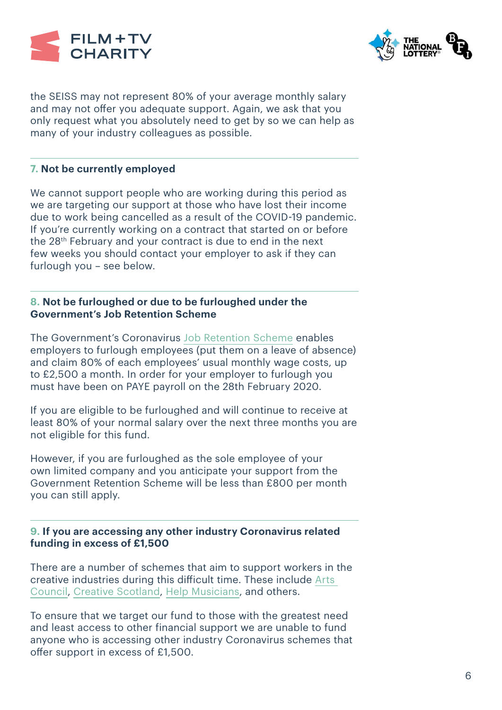



the SEISS may not represent 80% of your average monthly salary and may not offer you adequate support. Again, we ask that you only request what you absolutely need to get by so we can help as many of your industry colleagues as possible.

## **7. Not be currently employed**

We cannot support people who are working during this period as we are targeting our support at those who have lost their income due to work being cancelled as a result of the COVID-19 pandemic. If you're currently working on a contract that started on or before the 28th February and your contract is due to end in the next few weeks you should contact your employer to ask if they can furlough you – see below.

## **8. Not be furloughed or due to be furloughed under the Government's Job Retention Scheme**

The Government's Coronavirus [Job Retention Scheme](https://www.gov.uk/government/publications/guidance-to-employers-and-businesses-about-covid-19/covid-19-support-for-businesses#support-for-businesses-through-the-coronavirus-job-retention-scheme) enables employers to furlough employees (put them on a leave of absence) and claim 80% of each employees' usual monthly wage costs, up to £2,500 a month. In order for your employer to furlough you must have been on PAYE payroll on the 28th February 2020.

If you are eligible to be furloughed and will continue to receive at least 80% of your normal salary over the next three months you are not eligible for this fund.

However, if you are furloughed as the sole employee of your own limited company and you anticipate your support from the Government Retention Scheme will be less than £800 per month you can still apply.

## **9. If you are accessing any other industry Coronavirus related funding in excess of £1,500**

There are a number of schemes that aim to support workers in the creative industries during this difficult time. These include [Arts](https://www.artscouncil.org.uk/covid19)  [Council](https://www.artscouncil.org.uk/covid19), [Creative Scotland,](https://www.creativescotland.com/what-we-do/latest-news/archive/2020/03/covid-19-impact-funds?fbclid=IwAR31nK_Vmvi5vqJeo-HsTNTitT8Ipt47QTqlDqT5aaU7A4TGjoqBf09kgeAhttps://www.creativescotland.com/what-we-do/latest-news/archive/2020/03/covid-19-impact-funds?fbclid=IwAR31nK_Vmvi5vqJeo-HsTNTitT8Ipt47QTqlDqT5aaU7A4TGjoqBf09kgeA) [Help Musicians,](https://www.helpmusicians.org.uk/) and others.

To ensure that we target our fund to those with the greatest need and least access to other financial support we are unable to fund anyone who is accessing other industry Coronavirus schemes that offer support in excess of £1,500.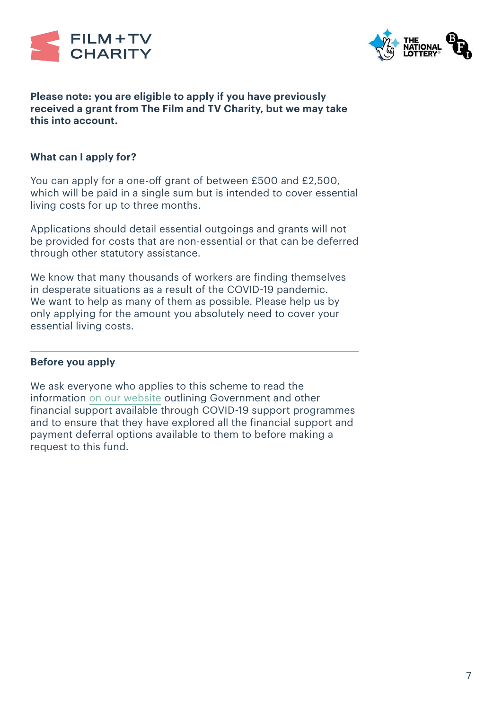



## **Please note: you are eligible to apply if you have previously received a grant from The Film and TV Charity, but we may take this into account.**

## **What can I apply for?**

You can apply for a one-off grant of between £500 and £2,500, which will be paid in a single sum but is intended to cover essential living costs for up to three months.

Applications should detail essential outgoings and grants will not be provided for costs that are non-essential or that can be deferred through other statutory assistance.

We know that many thousands of workers are finding themselves in desperate situations as a result of the COVID-19 pandemic. We want to help as many of them as possible. Please help us by only applying for the amount you absolutely need to cover your essential living costs.

## **Before you apply**

We ask everyone who applies to this scheme to read the information [on our website](https://filmtvcharity.org.uk/covid-19-help-advice/coronavirus-financial-advice/) outlining Government and other financial support available through COVID-19 support programmes and to ensure that they have explored all the financial support and payment deferral options available to them to before making a request to this fund.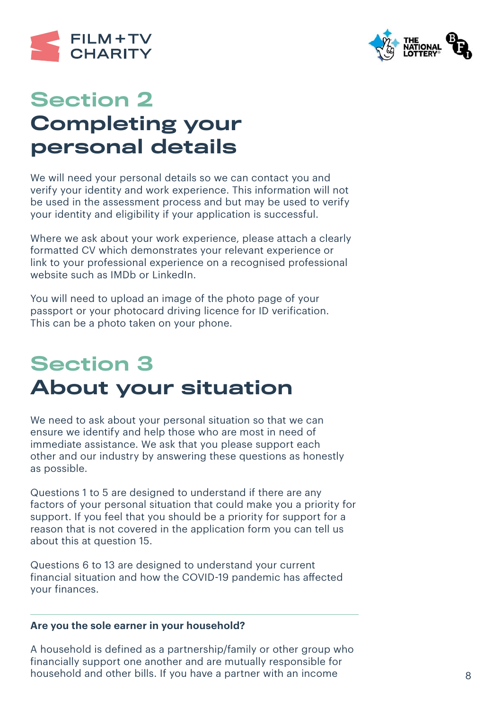



## Section 2 Completing your personal details

We will need your personal details so we can contact you and verify your identity and work experience. This information will not be used in the assessment process and but may be used to verify your identity and eligibility if your application is successful.

Where we ask about your work experience, please attach a clearly formatted CV which demonstrates your relevant experience or link to your professional experience on a recognised professional website such as IMDb or LinkedIn.

You will need to upload an image of the photo page of your passport or your photocard driving licence for ID verification. This can be a photo taken on your phone.

# Section 3 About your situation

We need to ask about your personal situation so that we can ensure we identify and help those who are most in need of immediate assistance. We ask that you please support each other and our industry by answering these questions as honestly as possible.

Questions 1 to 5 are designed to understand if there are any factors of your personal situation that could make you a priority for support. If you feel that you should be a priority for support for a reason that is not covered in the application form you can tell us about this at question 15.

Questions 6 to 13 are designed to understand your current financial situation and how the COVID-19 pandemic has affected your finances.

## **Are you the sole earner in your household?**

A household is defined as a partnership/family or other group who financially support one another and are mutually responsible for household and other bills. If you have a partner with an income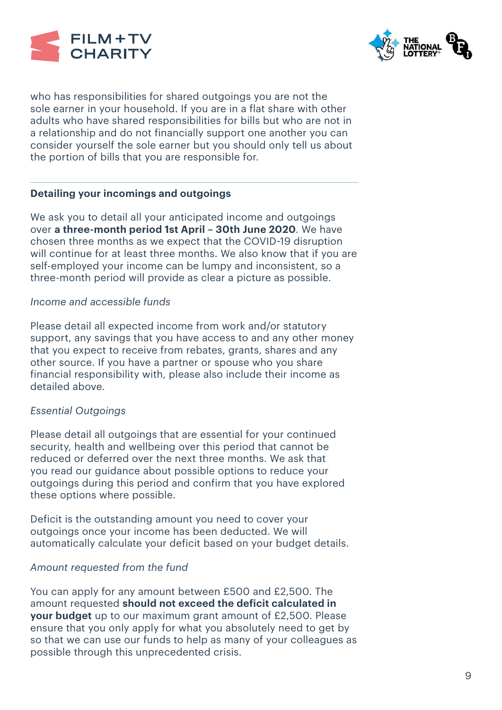



who has responsibilities for shared outgoings you are not the sole earner in your household. If you are in a flat share with other adults who have shared responsibilities for bills but who are not in a relationship and do not financially support one another you can consider yourself the sole earner but you should only tell us about the portion of bills that you are responsible for.

## **Detailing your incomings and outgoings**

We ask you to detail all your anticipated income and outgoings over **a three-month period 1st April – 30th June 2020**. We have chosen three months as we expect that the COVID-19 disruption will continue for at least three months. We also know that if you are self-employed your income can be lumpy and inconsistent, so a three-month period will provide as clear a picture as possible.

## *Income and accessible funds*

Please detail all expected income from work and/or statutory support, any savings that you have access to and any other money that you expect to receive from rebates, grants, shares and any other source. If you have a partner or spouse who you share financial responsibility with, please also include their income as detailed above.

## *Essential Outgoings*

Please detail all outgoings that are essential for your continued security, health and wellbeing over this period that cannot be reduced or deferred over the next three months. We ask that you read our guidance about possible options to reduce your outgoings during this period and confirm that you have explored these options where possible.

Deficit is the outstanding amount you need to cover your outgoings once your income has been deducted. We will automatically calculate your deficit based on your budget details.

## *Amount requested from the fund*

You can apply for any amount between £500 and £2,500. The amount requested **should not exceed the deficit calculated in your budget** up to our maximum grant amount of £2,500. Please ensure that you only apply for what you absolutely need to get by so that we can use our funds to help as many of your colleagues as possible through this unprecedented crisis.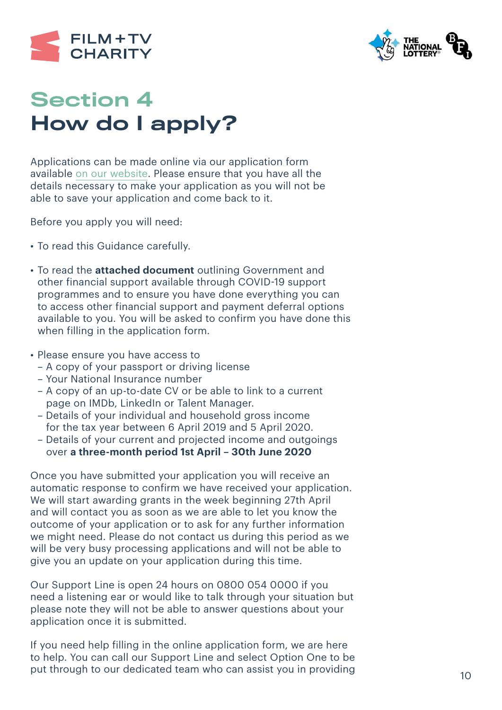



## Section 4 How do I apply?

Applications can be made online via our application form [available](https://filmtvcharity.formstack.com/forms/covid19_relief_fund) [on our website](https://filmtvcharity.org.uk/covid-19-help-advice/coronavirus-financial-advice/). Please ensure that you have all the details necessary to make your application as you will not be able to save your application and come back to it.

Before you apply you will need:

- To read this Guidance carefully.
- To read the **attached document** outlining Government and other financial support available through COVID-19 support programmes and to ensure you have done everything you can to access other financial support and payment deferral options available to you. You will be asked to confirm you have done this when filling in the application form.
- Please ensure you have access to
	- A copy of your passport or driving license
	- Your National Insurance number
	- A copy of an up-to-date CV or be able to link to a current page on IMDb, LinkedIn or Talent Manager.
	- Details of your individual and household gross income for the tax year between 6 April 2019 and 5 April 2020.
	- Details of your current and projected income and outgoings over **a three-month period 1st April – 30th June 2020**

Once you have submitted your application you will receive an automatic response to confirm we have received your application. We will start awarding grants in the week beginning 27th April and will contact you as soon as we are able to let you know the outcome of your application or to ask for any further information we might need. Please do not contact us during this period as we will be very busy processing applications and will not be able to give you an update on your application during this time.

Our Support Line is open 24 hours on 0800 054 0000 if you need a listening ear or would like to talk through your situation but please note they will not be able to answer questions about your application once it is submitted.

If you need help filling in the online application form, we are here to help. You can call our Support Line and select Option One to be put through to our dedicated team who can assist you in providing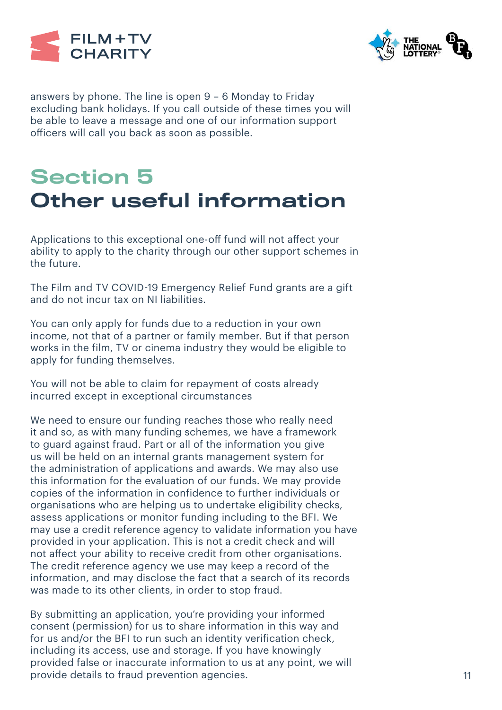



answers by phone. The line is open 9 – 6 Monday to Friday excluding bank holidays. If you call outside of these times you will be able to leave a message and one of our information support officers will call you back as soon as possible.

# Section 5 Other useful information

Applications to this exceptional one-off fund will not affect your ability to apply to the charity through our other support schemes in the future.

The Film and TV COVID-19 Emergency Relief Fund grants are a gift and do not incur tax on NI liabilities.

You can only apply for funds due to a reduction in your own income, not that of a partner or family member. But if that person works in the film, TV or cinema industry they would be eligible to apply for funding themselves.

You will not be able to claim for repayment of costs already incurred except in exceptional circumstances

We need to ensure our funding reaches those who really need it and so, as with many funding schemes, we have a framework to guard against fraud. Part or all of the information you give us will be held on an internal grants management system for the administration of applications and awards. We may also use this information for the evaluation of our funds. We may provide copies of the information in confidence to further individuals or organisations who are helping us to undertake eligibility checks, assess applications or monitor funding including to the BFI. We may use a credit reference agency to validate information you have provided in your application. This is not a credit check and will not affect your ability to receive credit from other organisations. The credit reference agency we use may keep a record of the information, and may disclose the fact that a search of its records was made to its other clients, in order to stop fraud.

By submitting an application, you're providing your informed consent (permission) for us to share information in this way and for us and/or the BFI to run such an identity verification check, including its access, use and storage. If you have knowingly provided false or inaccurate information to us at any point, we will provide details to fraud prevention agencies.